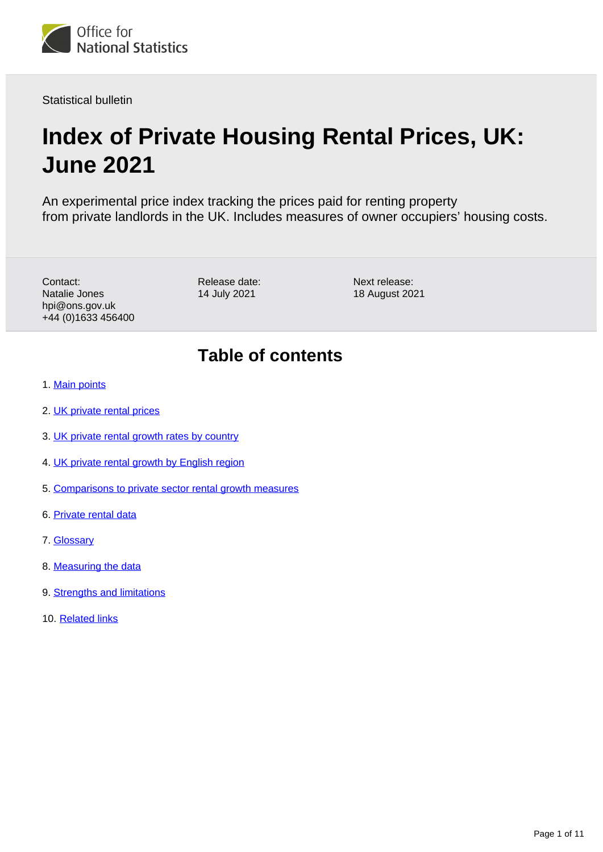

Statistical bulletin

# **Index of Private Housing Rental Prices, UK: June 2021**

An experimental price index tracking the prices paid for renting property from private landlords in the UK. Includes measures of owner occupiers' housing costs.

Contact: Natalie Jones hpi@ons.gov.uk +44 (0)1633 456400 Release date: 14 July 2021

Next release: 18 August 2021

# **Table of contents**

- 1. [Main points](#page-1-0)
- 2. [UK private rental prices](#page-1-1)
- 3. [UK private rental growth rates by country](#page-3-0)
- 4. [UK private rental growth by English region](#page-5-0)
- 5. [Comparisons to private sector rental growth measures](#page-7-0)
- 6. [Private rental data](#page-8-0)
- 7. [Glossary](#page-8-1)
- 8. [Measuring the data](#page-8-2)
- 9. [Strengths and limitations](#page-9-0)
- 10. [Related links](#page-10-0)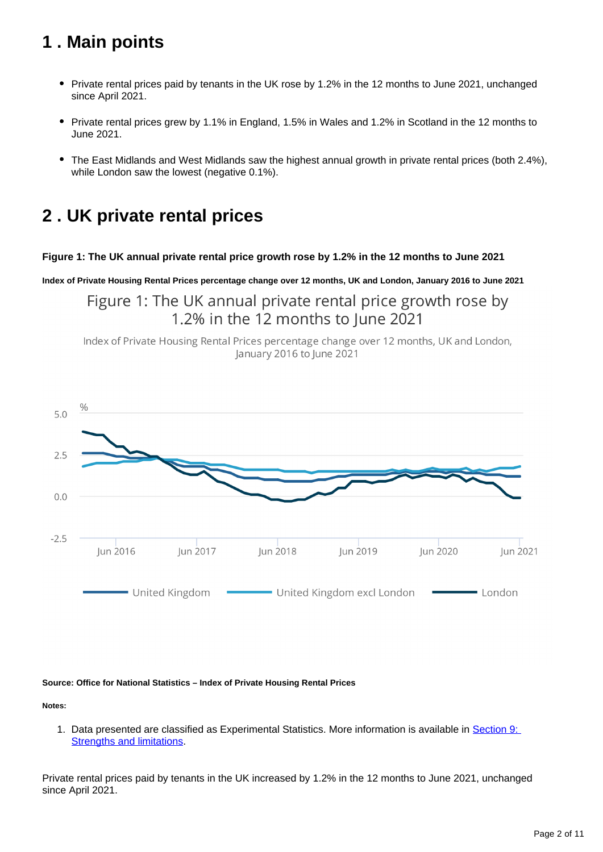# <span id="page-1-0"></span>**1 . Main points**

- Private rental prices paid by tenants in the UK rose by 1.2% in the 12 months to June 2021, unchanged since April 2021.
- Private rental prices grew by 1.1% in England, 1.5% in Wales and 1.2% in Scotland in the 12 months to June 2021.
- The East Midlands and West Midlands saw the highest annual growth in private rental prices (both 2.4%), while London saw the lowest (negative 0.1%).

# <span id="page-1-1"></span>**2 . UK private rental prices**

## **Figure 1: The UK annual private rental price growth rose by 1.2% in the 12 months to June 2021**

**Index of Private Housing Rental Prices percentage change over 12 months, UK and London, January 2016 to June 2021**

Figure 1: The UK annual private rental price growth rose by 1.2% in the 12 months to lune 2021

Index of Private Housing Rental Prices percentage change over 12 months, UK and London, January 2016 to June 2021



#### **Source: Office for National Statistics – Index of Private Housing Rental Prices**

**Notes:**

1. Data presented are classified as Experimental Statistics. More information is available in Section 9: [Strengths and limitations.](https://www.ons.gov.uk/economy/inflationandpriceindices/bulletins/indexofprivatehousingrentalprices/june2021#strengths-and-limitations)

Private rental prices paid by tenants in the UK increased by 1.2% in the 12 months to June 2021, unchanged since April 2021.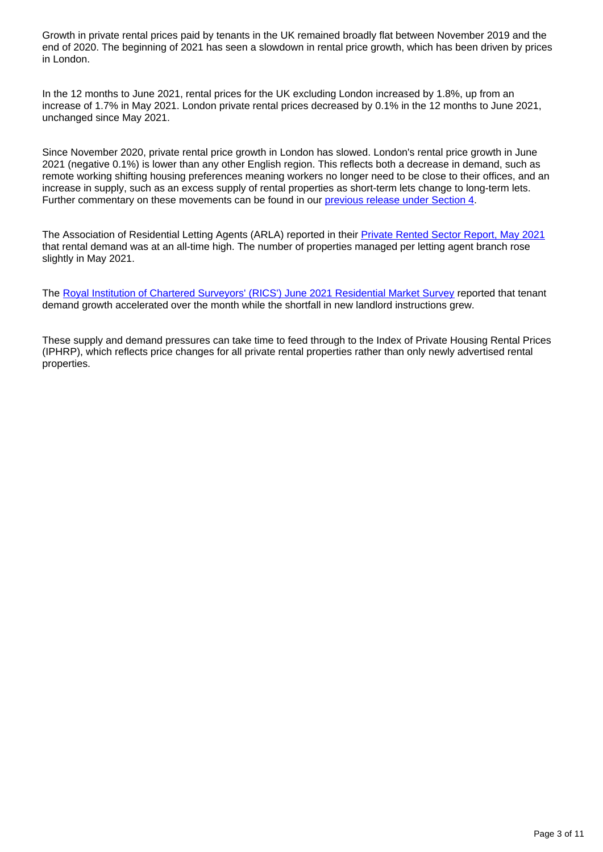Growth in private rental prices paid by tenants in the UK remained broadly flat between November 2019 and the end of 2020. The beginning of 2021 has seen a slowdown in rental price growth, which has been driven by prices in London.

In the 12 months to June 2021, rental prices for the UK excluding London increased by 1.8%, up from an increase of 1.7% in May 2021. London private rental prices decreased by 0.1% in the 12 months to June 2021, unchanged since May 2021.

Since November 2020, private rental price growth in London has slowed. London's rental price growth in June 2021 (negative 0.1%) is lower than any other English region. This reflects both a decrease in demand, such as remote working shifting housing preferences meaning workers no longer need to be close to their offices, and an increase in supply, such as an excess supply of rental properties as short-term lets change to long-term lets. Further commentary on these movements can be found in our [previous release under Section 4](https://www.ons.gov.uk/economy/inflationandpriceindices/bulletins/indexofprivatehousingrentalprices/march2021#uk-private-rental-growth-by-english-region).

The Association of Residential Letting Agents (ARLA) reported in their [Private Rented Sector Report, May 2021](https://www.arla.co.uk/lobbying/private-rented-sector-reports/) that rental demand was at an all-time high. The number of properties managed per letting agent branch rose slightly in May 2021.

The [Royal Institution of Chartered Surveyors' \(RICS'\) June 2021 Residential Market Survey](http://www.rics.org/uk/knowledge/market-analysis/rics-residential-market-survey/) reported that tenant demand growth accelerated over the month while the shortfall in new landlord instructions grew.

These supply and demand pressures can take time to feed through to the Index of Private Housing Rental Prices (IPHRP), which reflects price changes for all private rental properties rather than only newly advertised rental properties.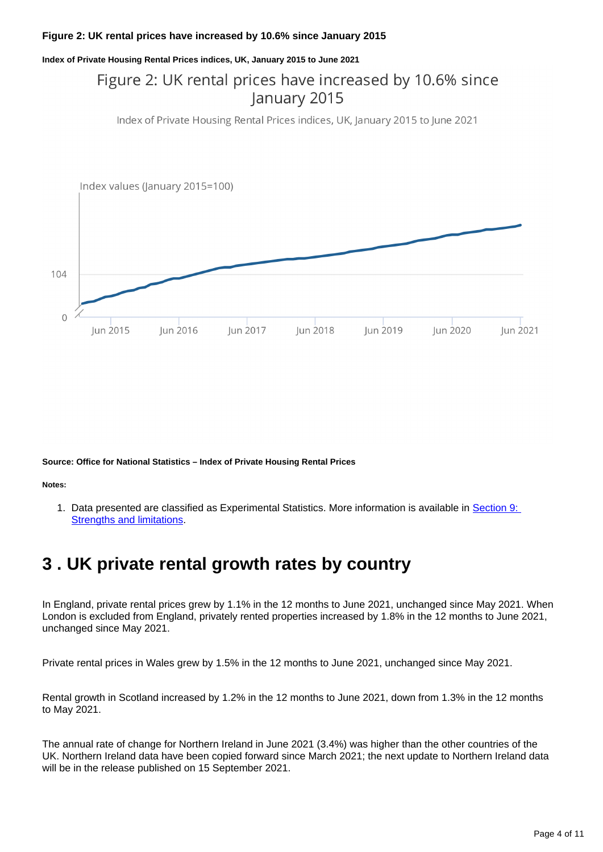#### **Figure 2: UK rental prices have increased by 10.6% since January 2015**

#### **Index of Private Housing Rental Prices indices, UK, January 2015 to June 2021**

# Figure 2: UK rental prices have increased by 10.6% since January 2015

Index of Private Housing Rental Prices indices, UK, January 2015 to June 2021



**Source: Office for National Statistics – Index of Private Housing Rental Prices**

**Notes:**

1. Data presented are classified as Experimental Statistics. More information is available in **Section 9:** [Strengths and limitations.](https://www.ons.gov.uk/economy/inflationandpriceindices/bulletins/indexofprivatehousingrentalprices/june2021#strengths-and-limitations)

# <span id="page-3-0"></span>**3 . UK private rental growth rates by country**

In England, private rental prices grew by 1.1% in the 12 months to June 2021, unchanged since May 2021. When London is excluded from England, privately rented properties increased by 1.8% in the 12 months to June 2021, unchanged since May 2021.

Private rental prices in Wales grew by 1.5% in the 12 months to June 2021, unchanged since May 2021.

Rental growth in Scotland increased by 1.2% in the 12 months to June 2021, down from 1.3% in the 12 months to May 2021.

The annual rate of change for Northern Ireland in June 2021 (3.4%) was higher than the other countries of the UK. Northern Ireland data have been copied forward since March 2021; the next update to Northern Ireland data will be in the release published on 15 September 2021.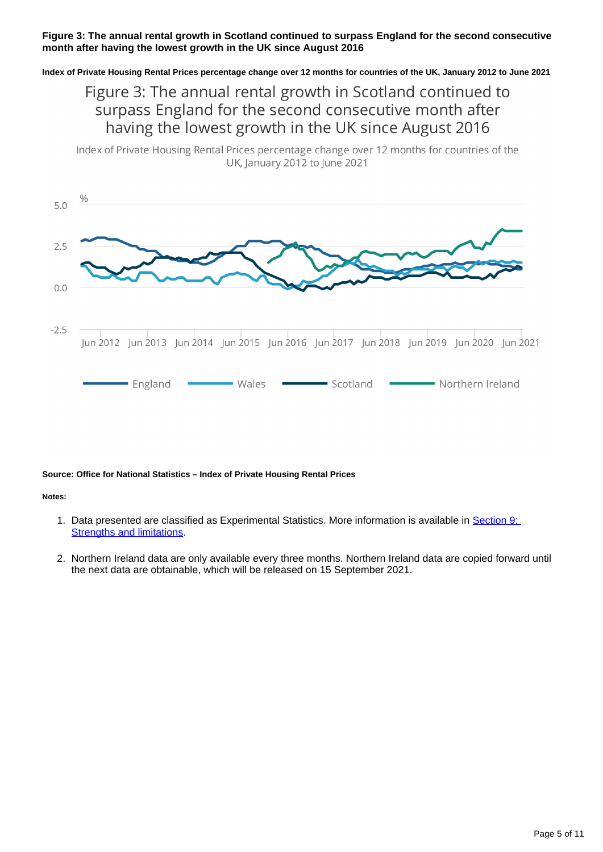## **Figure 3: The annual rental growth in Scotland continued to surpass England for the second consecutive month after having the lowest growth in the UK since August 2016**

**Index of Private Housing Rental Prices percentage change over 12 months for countries of the UK, January 2012 to June 2021**

# Figure 3: The annual rental growth in Scotland continued to surpass England for the second consecutive month after having the lowest growth in the UK since August 2016

Index of Private Housing Rental Prices percentage change over 12 months for countries of the UK, January 2012 to June 2021



#### **Source: Office for National Statistics – Index of Private Housing Rental Prices**

#### **Notes:**

- 1. Data presented are classified as Experimental Statistics. More information is available in **Section 9:** [Strengths and limitations.](https://www.ons.gov.uk/economy/inflationandpriceindices/bulletins/indexofprivatehousingrentalprices/june2021#strengths-and-limitations)
- 2. Northern Ireland data are only available every three months. Northern Ireland data are copied forward until the next data are obtainable, which will be released on 15 September 2021.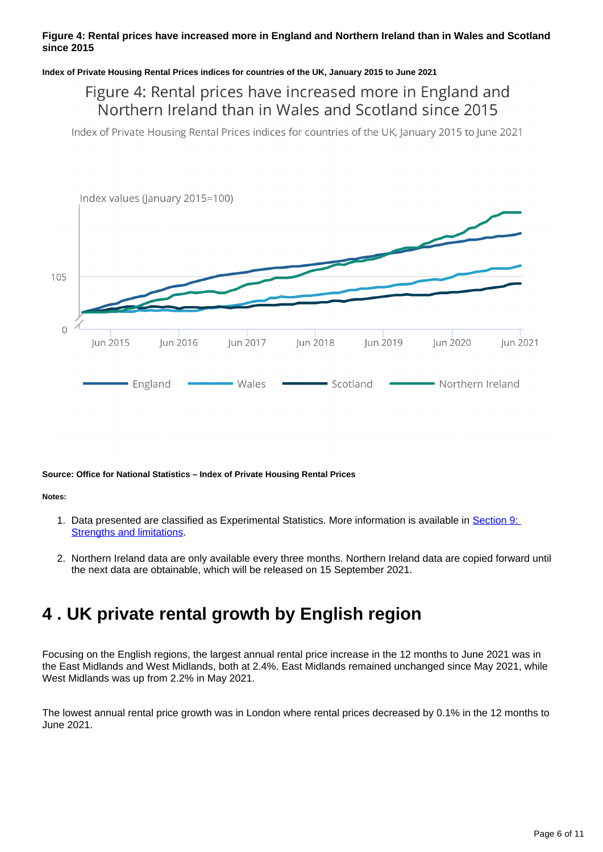## **Figure 4: Rental prices have increased more in England and Northern Ireland than in Wales and Scotland since 2015**

#### **Index of Private Housing Rental Prices indices for countries of the UK, January 2015 to June 2021**

# Figure 4: Rental prices have increased more in England and Northern Ireland than in Wales and Scotland since 2015

Index of Private Housing Rental Prices indices for countries of the UK, January 2015 to June 2021



#### **Source: Office for National Statistics – Index of Private Housing Rental Prices**

#### **Notes:**

- 1. Data presented are classified as Experimental Statistics. More information is available in **Section 9:** [Strengths and limitations.](https://www.ons.gov.uk/economy/inflationandpriceindices/bulletins/indexofprivatehousingrentalprices/june2021#strengths-and-limitations)
- 2. Northern Ireland data are only available every three months. Northern Ireland data are copied forward until the next data are obtainable, which will be released on 15 September 2021.

# <span id="page-5-0"></span>**4 . UK private rental growth by English region**

Focusing on the English regions, the largest annual rental price increase in the 12 months to June 2021 was in the East Midlands and West Midlands, both at 2.4%. East Midlands remained unchanged since May 2021, while West Midlands was up from 2.2% in May 2021.

The lowest annual rental price growth was in London where rental prices decreased by 0.1% in the 12 months to June 2021.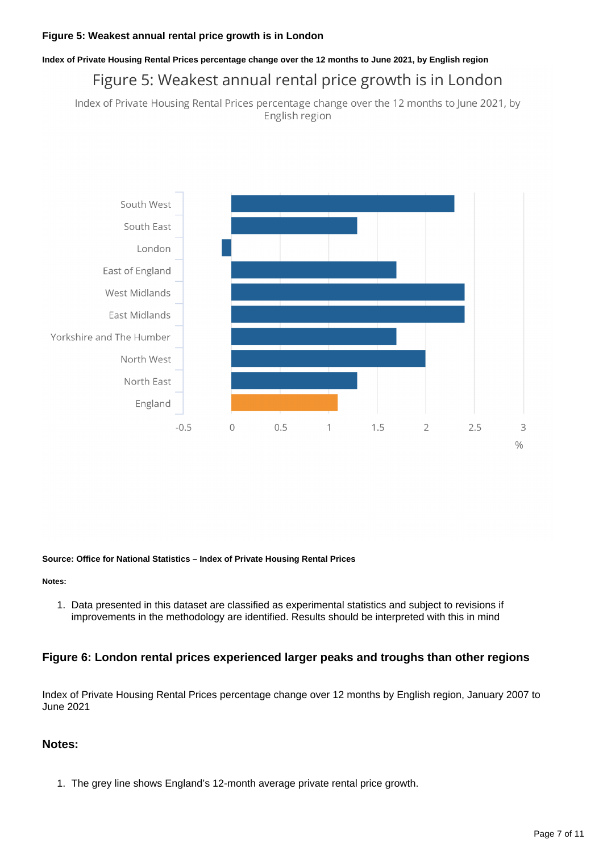# **Index of Private Housing Rental Prices percentage change over the 12 months to June 2021, by English region** Figure 5: Weakest annual rental price growth is in London

Index of Private Housing Rental Prices percentage change over the 12 months to June 2021, by English region



#### **Source: Office for National Statistics – Index of Private Housing Rental Prices**

**Notes:**

1. Data presented in this dataset are classified as experimental statistics and subject to revisions if improvements in the methodology are identified. Results should be interpreted with this in mind

## **Figure 6: London rental prices experienced larger peaks and troughs than other regions**

Index of Private Housing Rental Prices percentage change over 12 months by English region, January 2007 to June 2021

## **Notes:**

1. The grey line shows England's 12-month average private rental price growth.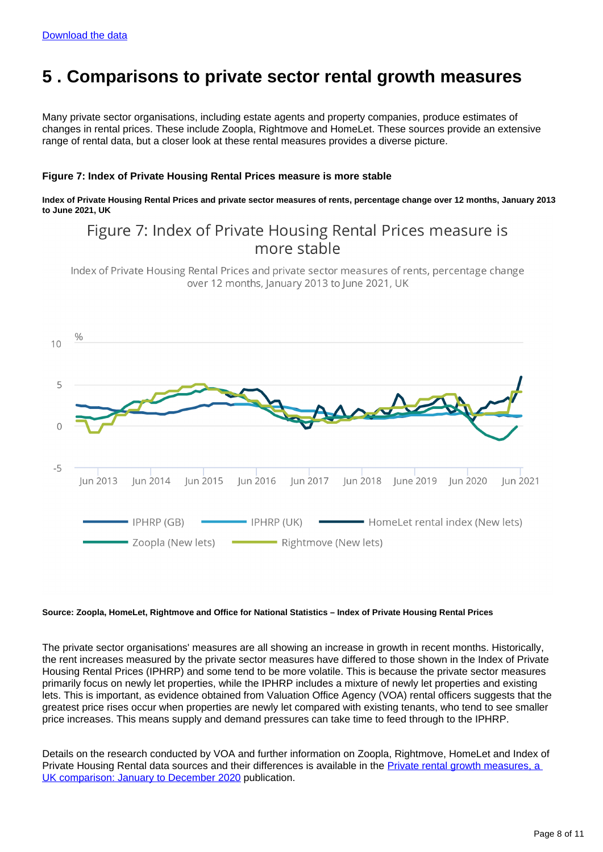# <span id="page-7-0"></span>**5 . Comparisons to private sector rental growth measures**

Many private sector organisations, including estate agents and property companies, produce estimates of changes in rental prices. These include Zoopla, Rightmove and HomeLet. These sources provide an extensive range of rental data, but a closer look at these rental measures provides a diverse picture.

#### **Figure 7: Index of Private Housing Rental Prices measure is more stable**

**Index of Private Housing Rental Prices and private sector measures of rents, percentage change over 12 months, January 2013 to June 2021, UK**

# Figure 7: Index of Private Housing Rental Prices measure is more stable

Index of Private Housing Rental Prices and private sector measures of rents, percentage change over 12 months, January 2013 to June 2021, UK



#### **Source: Zoopla, HomeLet, Rightmove and Office for National Statistics – Index of Private Housing Rental Prices**

The private sector organisations' measures are all showing an increase in growth in recent months. Historically, the rent increases measured by the private sector measures have differed to those shown in the Index of Private Housing Rental Prices (IPHRP) and some tend to be more volatile. This is because the private sector measures primarily focus on newly let properties, while the IPHRP includes a mixture of newly let properties and existing lets. This is important, as evidence obtained from Valuation Office Agency (VOA) rental officers suggests that the greatest price rises occur when properties are newly let compared with existing tenants, who tend to see smaller price increases. This means supply and demand pressures can take time to feed through to the IPHRP.

Details on the research conducted by VOA and further information on Zoopla, Rightmove, HomeLet and Index of Private Housing Rental data sources and their differences is available in the Private rental growth measures, a [UK comparison: January to December 2020](https://www.ons.gov.uk/economy/inflationandpriceindices/articles/comparingmeasuresofprivaterentalgrowthintheuk/januarytodecember2020) publication.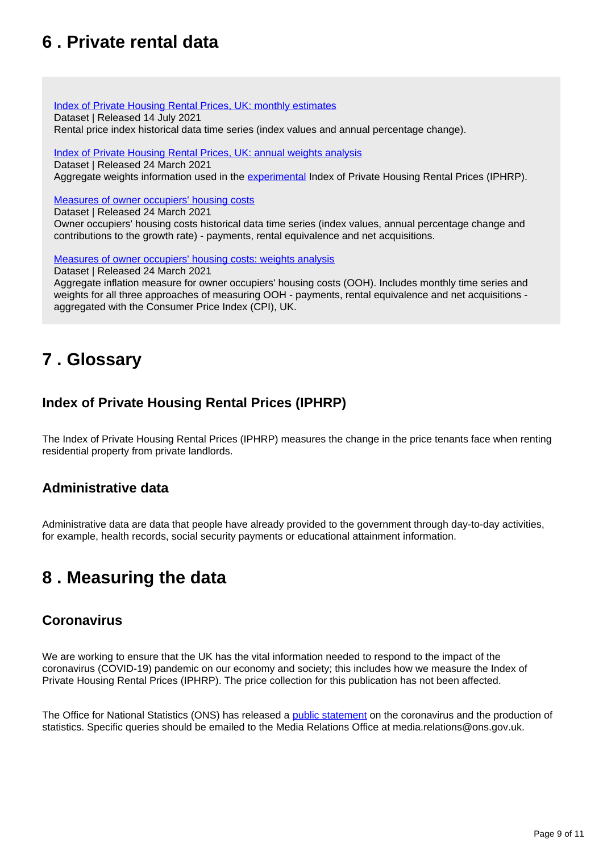# <span id="page-8-0"></span>**6 . Private rental data**

[Index of Private Housing Rental Prices, UK: monthly estimates](https://www.ons.gov.uk/economy/inflationandpriceindices/datasets/indexofprivatehousingrentalpricesreferencetables) Dataset | Released 14 July 2021 Rental price index historical data time series (index values and annual percentage change).

#### [Index of Private Housing Rental Prices, UK: annual weights analysis](https://www.ons.gov.uk/economy/inflationandpriceindices/datasets/indexofprivatehousingrentalpricesweightsanalysis)

Dataset | Released 24 March 2021 Aggregate weights information used in the [experimental](https://www.ons.gov.uk/methodology/methodologytopicsandstatisticalconcepts/guidetoexperimentalstatistics) Index of Private Housing Rental Prices (IPHRP).

## [Measures of owner occupiers' housing costs](https://www.ons.gov.uk/economy/inflationandpriceindices/datasets/understandingthedifferentapproachesofmeasuringowneroccupiershousingcosts)

Dataset | Released 24 March 2021

Owner occupiers' housing costs historical data time series (index values, annual percentage change and contributions to the growth rate) - payments, rental equivalence and net acquisitions.

[Measures of owner occupiers' housing costs: weights analysis](https://www.ons.gov.uk/economy/inflationandpriceindices/datasets/understandingthedifferentapproachesofmeasuringowneroccupiershousingcostsoohweightsanalysis)

Dataset | Released 24 March 2021

Aggregate inflation measure for owner occupiers' housing costs (OOH). Includes monthly time series and weights for all three approaches of measuring OOH - payments, rental equivalence and net acquisitions aggregated with the Consumer Price Index (CPI), UK.

# <span id="page-8-1"></span>**7 . Glossary**

# **Index of Private Housing Rental Prices (IPHRP)**

The Index of Private Housing Rental Prices (IPHRP) measures the change in the price tenants face when renting residential property from private landlords.

## **Administrative data**

Administrative data are data that people have already provided to the government through day-to-day activities, for example, health records, social security payments or educational attainment information.

# <span id="page-8-2"></span>**8 . Measuring the data**

## **Coronavirus**

We are working to ensure that the UK has the vital information needed to respond to the impact of the coronavirus (COVID-19) pandemic on our economy and society; this includes how we measure the Index of Private Housing Rental Prices (IPHRP). The price collection for this publication has not been affected.

The Office for National Statistics (ONS) has released a [public statement](https://www.ons.gov.uk/news/statementsandletters/covid19andtheproductionofstatistics) on the coronavirus and the production of statistics. Specific queries should be emailed to the Media Relations Office at media.relations@ons.gov.uk.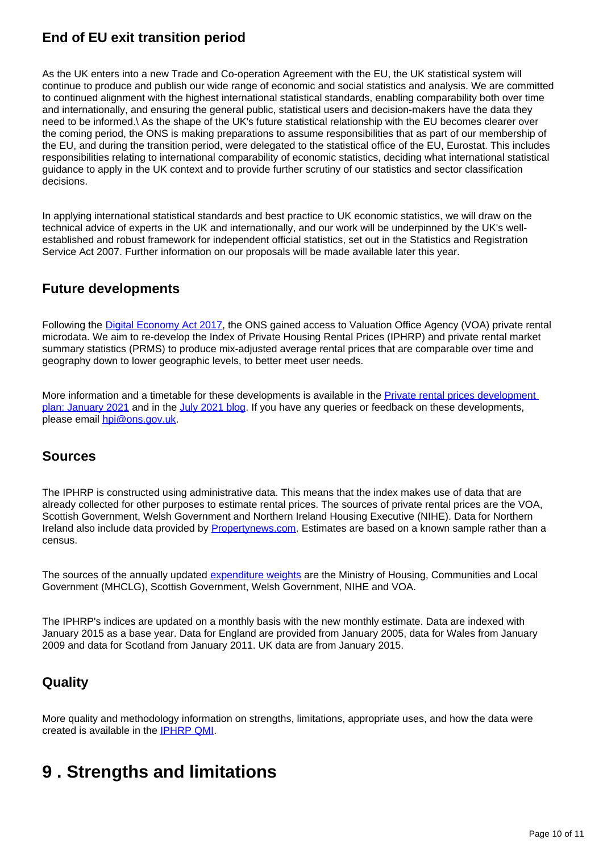# **End of EU exit transition period**

As the UK enters into a new Trade and Co-operation Agreement with the EU, the UK statistical system will continue to produce and publish our wide range of economic and social statistics and analysis. We are committed to continued alignment with the highest international statistical standards, enabling comparability both over time and internationally, and ensuring the general public, statistical users and decision-makers have the data they need to be informed.\ As the shape of the UK's future statistical relationship with the EU becomes clearer over the coming period, the ONS is making preparations to assume responsibilities that as part of our membership of the EU, and during the transition period, were delegated to the statistical office of the EU, Eurostat. This includes responsibilities relating to international comparability of economic statistics, deciding what international statistical guidance to apply in the UK context and to provide further scrutiny of our statistics and sector classification decisions.

In applying international statistical standards and best practice to UK economic statistics, we will draw on the technical advice of experts in the UK and internationally, and our work will be underpinned by the UK's wellestablished and robust framework for independent official statistics, set out in the Statistics and Registration Service Act 2007. Further information on our proposals will be made available later this year.

## **Future developments**

Following the [Digital Economy Act 2017,](http://www.legislation.gov.uk/ukpga/2017/30/contents/enacted) the ONS gained access to Valuation Office Agency (VOA) private rental microdata. We aim to re-develop the Index of Private Housing Rental Prices (IPHRP) and private rental market summary statistics (PRMS) to produce mix-adjusted average rental prices that are comparable over time and geography down to lower geographic levels, to better meet user needs.

More information and a timetable for these developments is available in the [Private rental prices development](https://www.ons.gov.uk/peoplepopulationandcommunity/housing/articles/privaterentalpricesdevelopmentplan/updatedjanuary2021)  [plan: January 2021](https://www.ons.gov.uk/peoplepopulationandcommunity/housing/articles/privaterentalpricesdevelopmentplan/updatedjanuary2021) and in the [July 2021 blog.](https://blog.ons.gov.uk/2021/07/14/unlocking-the-power-of-data-to-better-understand-private-rents/) If you have any queries or feedback on these developments, please email [hpi@ons.gov.uk.](mailto:hpi@ons.gov.uk)

## **Sources**

The IPHRP is constructed using administrative data. This means that the index makes use of data that are already collected for other purposes to estimate rental prices. The sources of private rental prices are the VOA, Scottish Government, Welsh Government and Northern Ireland Housing Executive (NIHE). Data for Northern Ireland also include data provided by [Propertynews.com](https://www.propertynews.com/). Estimates are based on a known sample rather than a census.

The sources of the annually updated [expenditure weights](https://www.ons.gov.uk/economy/inflationandpriceindices/datasets/indexofprivatehousingrentalpricesweightsanalysis) are the Ministry of Housing, Communities and Local Government (MHCLG), Scottish Government, Welsh Government, NIHE and VOA.

The IPHRP's indices are updated on a monthly basis with the new monthly estimate. Data are indexed with January 2015 as a base year. Data for England are provided from January 2005, data for Wales from January 2009 and data for Scotland from January 2011. UK data are from January 2015.

## **Quality**

More quality and methodology information on strengths, limitations, appropriate uses, and how the data were created is available in the [IPHRP QMI](https://www.ons.gov.uk/economy/inflationandpriceindices/methodologies/indexofprivatehousingrentalpricesqmi).

# <span id="page-9-0"></span>**9 . Strengths and limitations**